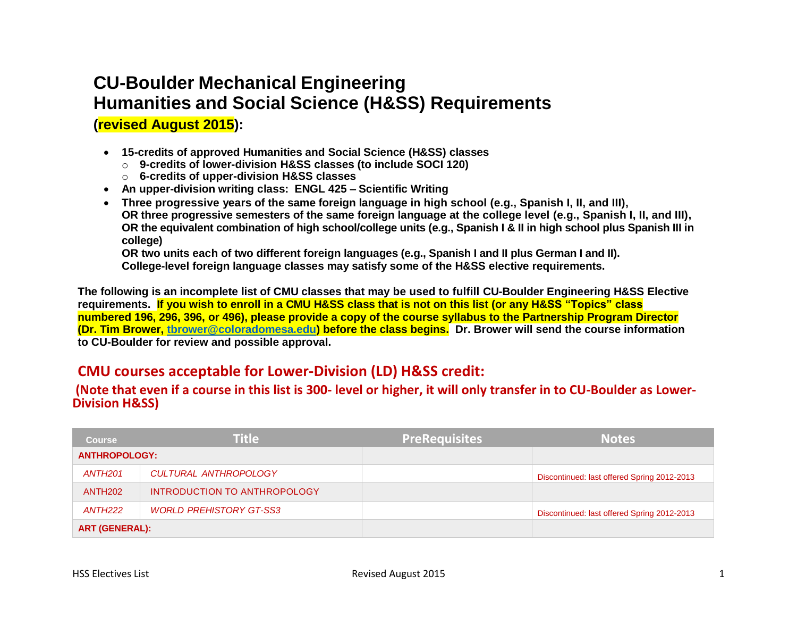# **CU-Boulder Mechanical Engineering Humanities and Social Science (H&SS) Requirements**

**(revised August 2015):**

- **15-credits of approved Humanities and Social Science (H&SS) classes** 
	- o **9-credits of lower-division H&SS classes (to include SOCI 120)**
	- o **6-credits of upper-division H&SS classes**
- **An upper-division writing class: ENGL 425 – Scientific Writing**
- **Three progressive years of the same foreign language in high school (e.g., Spanish I, II, and III), OR three progressive semesters of the same foreign language at the college level (e.g., Spanish I, II, and III), OR the equivalent combination of high school/college units (e.g., Spanish I & II in high school plus Spanish III in college)**

**OR two units each of two different foreign languages (e.g., Spanish I and II plus German I and II). College-level foreign language classes may satisfy some of the H&SS elective requirements.**

**The following is an incomplete list of CMU classes that may be used to fulfill CU-Boulder Engineering H&SS Elective requirements. If you wish to enroll in a CMU H&SS class that is not on this list (or any H&SS "Topics" class numbered 196, 296, 396, or 496), please provide a copy of the course syllabus to the Partnership Program Director (Dr. Tim Brower, [tbrower@coloradomesa.edu\)](mailto:tbrower@coloradomesa.edu) before the class begins. Dr. Brower will send the course information to CU-Boulder for review and possible approval.**

### **CMU courses acceptable for Lower-Division (LD) H&SS credit:**

#### **(Note that even if a course in this list is 300- level or higher, it will only transfer in to CU-Boulder as Lower-Division H&SS)**

| <b>Course</b>         | <b>Title</b>                   | <b>PreRequisites</b> | <b>Notes</b>                                |
|-----------------------|--------------------------------|----------------------|---------------------------------------------|
| <b>ANTHROPOLOGY:</b>  |                                |                      |                                             |
| ANTH201               | <b>CULTURAL ANTHROPOLOGY</b>   |                      | Discontinued: last offered Spring 2012-2013 |
| <b>ANTH202</b>        | INTRODUCTION TO ANTHROPOLOGY   |                      |                                             |
| ANTH222               | <b>WORLD PREHISTORY GT-SS3</b> |                      | Discontinued: last offered Spring 2012-2013 |
| <b>ART (GENERAL):</b> |                                |                      |                                             |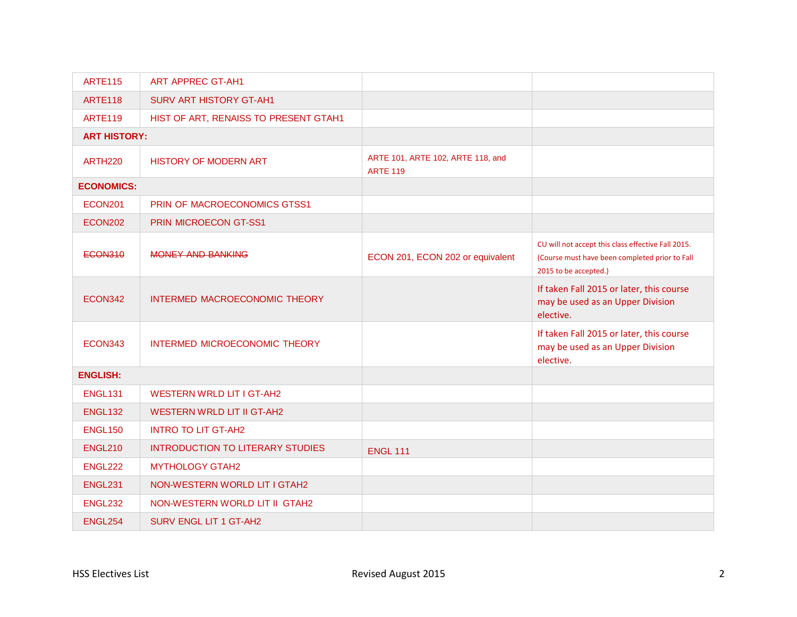| <b>ARTE115</b>      | <b>ART APPREC GT-AH1</b>                |                                                      |                                                                                                                               |
|---------------------|-----------------------------------------|------------------------------------------------------|-------------------------------------------------------------------------------------------------------------------------------|
| <b>ARTE118</b>      | <b>SURV ART HISTORY GT-AH1</b>          |                                                      |                                                                                                                               |
| <b>ARTE119</b>      | HIST OF ART, RENAISS TO PRESENT GTAH1   |                                                      |                                                                                                                               |
| <b>ART HISTORY:</b> |                                         |                                                      |                                                                                                                               |
| <b>ARTH220</b>      | <b>HISTORY OF MODERN ART</b>            | ARTE 101, ARTE 102, ARTE 118, and<br><b>ARTE 119</b> |                                                                                                                               |
| <b>ECONOMICS:</b>   |                                         |                                                      |                                                                                                                               |
| <b>ECON201</b>      | PRIN OF MACROECONOMICS GTSS1            |                                                      |                                                                                                                               |
| <b>ECON202</b>      | PRIN MICROECON GT-SS1                   |                                                      |                                                                                                                               |
| <b>ECON310</b>      | MONEY AND BANKING                       | ECON 201, ECON 202 or equivalent                     | CU will not accept this class effective Fall 2015.<br>(Course must have been completed prior to Fall<br>2015 to be accepted.) |
| ECON342             | INTERMED MACROECONOMIC THEORY           |                                                      | If taken Fall 2015 or later, this course<br>may be used as an Upper Division<br>elective.                                     |
| ECON343             | INTERMED MICROECONOMIC THEORY           |                                                      | If taken Fall 2015 or later, this course<br>may be used as an Upper Division<br>elective.                                     |
| <b>ENGLISH:</b>     |                                         |                                                      |                                                                                                                               |
| <b>ENGL131</b>      | <b>WESTERN WRLD LIT I GT-AH2</b>        |                                                      |                                                                                                                               |
| <b>ENGL132</b>      | <b>WESTERN WRLD LIT II GT-AH2</b>       |                                                      |                                                                                                                               |
| <b>ENGL150</b>      | <b>INTRO TO LIT GT-AH2</b>              |                                                      |                                                                                                                               |
| <b>ENGL210</b>      | <b>INTRODUCTION TO LITERARY STUDIES</b> | <b>ENGL 111</b>                                      |                                                                                                                               |
| <b>ENGL222</b>      | <b>MYTHOLOGY GTAH2</b>                  |                                                      |                                                                                                                               |
| <b>ENGL231</b>      | NON-WESTERN WORLD LIT I GTAH2           |                                                      |                                                                                                                               |
| <b>ENGL232</b>      | NON-WESTERN WORLD LIT II GTAH2          |                                                      |                                                                                                                               |
| <b>ENGL254</b>      | <b>SURV ENGL LIT 1 GT-AH2</b>           |                                                      |                                                                                                                               |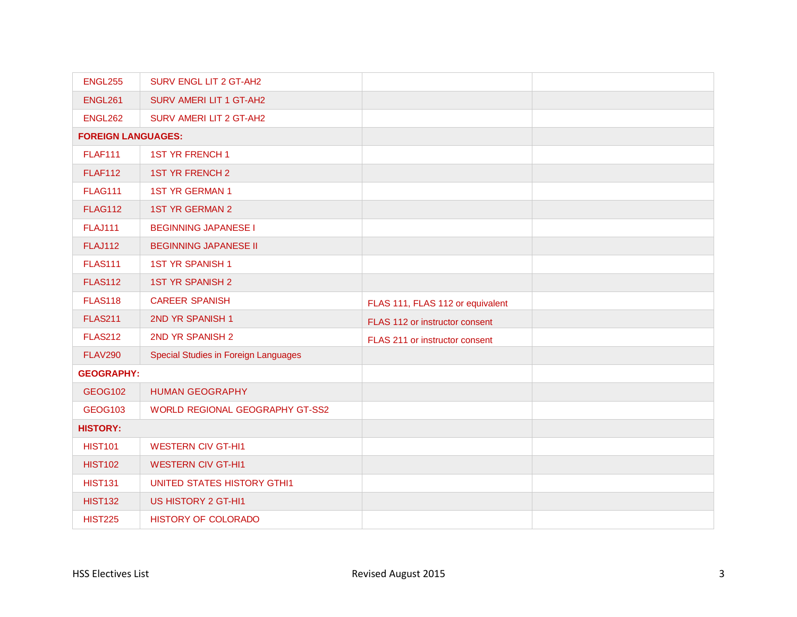| <b>ENGL255</b>            | SURV ENGL LIT 2 GT-AH2                      |                                  |  |
|---------------------------|---------------------------------------------|----------------------------------|--|
| <b>ENGL261</b>            | SURV AMERI LIT 1 GT-AH2                     |                                  |  |
| <b>ENGL262</b>            | SURV AMERI LIT 2 GT-AH2                     |                                  |  |
| <b>FOREIGN LANGUAGES:</b> |                                             |                                  |  |
| <b>FLAF111</b>            | <b>1ST YR FRENCH 1</b>                      |                                  |  |
| <b>FLAF112</b>            | <b>1ST YR FRENCH 2</b>                      |                                  |  |
| <b>FLAG111</b>            | <b>1ST YR GERMAN 1</b>                      |                                  |  |
| <b>FLAG112</b>            | <b>1ST YR GERMAN 2</b>                      |                                  |  |
| <b>FLAJ111</b>            | <b>BEGINNING JAPANESE I</b>                 |                                  |  |
| <b>FLAJ112</b>            | <b>BEGINNING JAPANESE II</b>                |                                  |  |
| <b>FLAS111</b>            | <b>1ST YR SPANISH 1</b>                     |                                  |  |
| <b>FLAS112</b>            | <b>1ST YR SPANISH 2</b>                     |                                  |  |
| <b>FLAS118</b>            | <b>CAREER SPANISH</b>                       | FLAS 111, FLAS 112 or equivalent |  |
| <b>FLAS211</b>            | 2ND YR SPANISH 1                            | FLAS 112 or instructor consent   |  |
| <b>FLAS212</b>            | 2ND YR SPANISH 2                            | FLAS 211 or instructor consent   |  |
| <b>FLAV290</b>            | <b>Special Studies in Foreign Languages</b> |                                  |  |
| <b>GEOGRAPHY:</b>         |                                             |                                  |  |
| <b>GEOG102</b>            | <b>HUMAN GEOGRAPHY</b>                      |                                  |  |
| <b>GEOG103</b>            | WORLD REGIONAL GEOGRAPHY GT-SS2             |                                  |  |
| <b>HISTORY:</b>           |                                             |                                  |  |
| <b>HIST101</b>            | <b>WESTERN CIV GT-HI1</b>                   |                                  |  |
| <b>HIST102</b>            | <b>WESTERN CIV GT-HI1</b>                   |                                  |  |
| <b>HIST131</b>            | <b>UNITED STATES HISTORY GTHI1</b>          |                                  |  |
| <b>HIST132</b>            | US HISTORY 2 GT-HI1                         |                                  |  |
| <b>HIST225</b>            | <b>HISTORY OF COLORADO</b>                  |                                  |  |
|                           |                                             |                                  |  |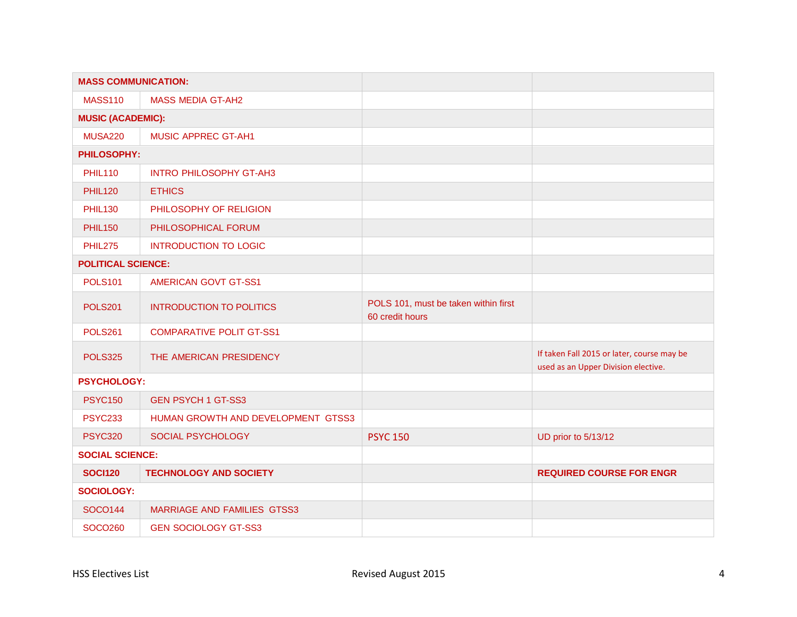| <b>MASS COMMUNICATION:</b> |                                    |                                                         |                                                                                   |
|----------------------------|------------------------------------|---------------------------------------------------------|-----------------------------------------------------------------------------------|
| <b>MASS110</b>             | <b>MASS MEDIA GT-AH2</b>           |                                                         |                                                                                   |
| <b>MUSIC (ACADEMIC):</b>   |                                    |                                                         |                                                                                   |
| <b>MUSA220</b>             | <b>MUSIC APPREC GT-AH1</b>         |                                                         |                                                                                   |
| <b>PHILOSOPHY:</b>         |                                    |                                                         |                                                                                   |
| <b>PHIL110</b>             | <b>INTRO PHILOSOPHY GT-AH3</b>     |                                                         |                                                                                   |
| <b>PHIL120</b>             | <b>ETHICS</b>                      |                                                         |                                                                                   |
| <b>PHIL130</b>             | PHILOSOPHY OF RELIGION             |                                                         |                                                                                   |
| <b>PHIL150</b>             | PHILOSOPHICAL FORUM                |                                                         |                                                                                   |
| <b>PHIL275</b>             | <b>INTRODUCTION TO LOGIC</b>       |                                                         |                                                                                   |
| <b>POLITICAL SCIENCE:</b>  |                                    |                                                         |                                                                                   |
| <b>POLS101</b>             | <b>AMERICAN GOVT GT-SS1</b>        |                                                         |                                                                                   |
| <b>POLS201</b>             | <b>INTRODUCTION TO POLITICS</b>    | POLS 101, must be taken within first<br>60 credit hours |                                                                                   |
| <b>POLS261</b>             | <b>COMPARATIVE POLIT GT-SS1</b>    |                                                         |                                                                                   |
| <b>POLS325</b>             | THE AMERICAN PRESIDENCY            |                                                         | If taken Fall 2015 or later, course may be<br>used as an Upper Division elective. |
| <b>PSYCHOLOGY:</b>         |                                    |                                                         |                                                                                   |
| <b>PSYC150</b>             | <b>GEN PSYCH 1 GT-SS3</b>          |                                                         |                                                                                   |
| <b>PSYC233</b>             | HUMAN GROWTH AND DEVELOPMENT GTSS3 |                                                         |                                                                                   |
| <b>PSYC320</b>             | SOCIAL PSYCHOLOGY                  | <b>PSYC 150</b>                                         | UD prior to 5/13/12                                                               |
| <b>SOCIAL SCIENCE:</b>     |                                    |                                                         |                                                                                   |
| <b>SOCI120</b>             | <b>TECHNOLOGY AND SOCIETY</b>      |                                                         | <b>REQUIRED COURSE FOR ENGR</b>                                                   |
| <b>SOCIOLOGY:</b>          |                                    |                                                         |                                                                                   |
| <b>SOCO144</b>             | <b>MARRIAGE AND FAMILIES GTSS3</b> |                                                         |                                                                                   |
| SOCO260                    | <b>GEN SOCIOLOGY GT-SS3</b>        |                                                         |                                                                                   |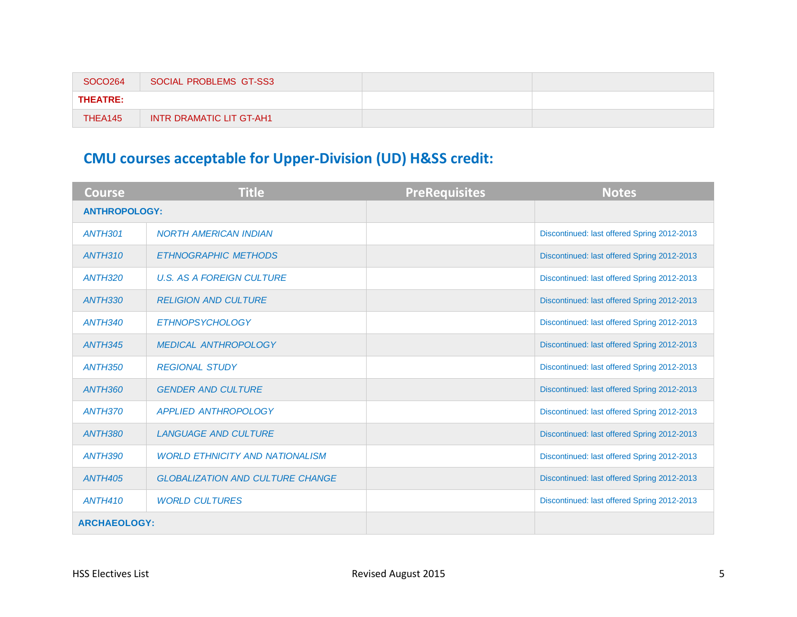| SOCO264         | SOCIAL PROBLEMS GT-SS3          |  |
|-----------------|---------------------------------|--|
| <b>THEATRE:</b> |                                 |  |
| THEA145         | <b>INTR DRAMATIC LIT GT-AH1</b> |  |

## **CMU courses acceptable for Upper-Division (UD) H&SS credit:**

| <b>Course</b>        | <b>Title</b>                            | <b>PreRequisites</b> | <b>Notes</b>                                |
|----------------------|-----------------------------------------|----------------------|---------------------------------------------|
| <b>ANTHROPOLOGY:</b> |                                         |                      |                                             |
| <b>ANTH301</b>       | <b>NORTH AMERICAN INDIAN</b>            |                      | Discontinued: last offered Spring 2012-2013 |
| <b>ANTH310</b>       | <b>ETHNOGRAPHIC METHODS</b>             |                      | Discontinued: last offered Spring 2012-2013 |
| <b>ANTH320</b>       | <b>U.S. AS A FOREIGN CULTURE</b>        |                      | Discontinued: last offered Spring 2012-2013 |
| <b>ANTH330</b>       | <b>RELIGION AND CULTURE</b>             |                      | Discontinued: last offered Spring 2012-2013 |
| <b>ANTH340</b>       | ETHNOPSYCHOLOGY                         |                      | Discontinued: last offered Spring 2012-2013 |
| <b>ANTH345</b>       | <b>MEDICAL ANTHROPOLOGY</b>             |                      | Discontinued: last offered Spring 2012-2013 |
| <b>ANTH350</b>       | <b>REGIONAL STUDY</b>                   |                      | Discontinued: last offered Spring 2012-2013 |
| <b>ANTH360</b>       | <b>GENDER AND CULTURE</b>               |                      | Discontinued: last offered Spring 2012-2013 |
| ANTH370              | APPLIED ANTHROPOLOGY                    |                      | Discontinued: last offered Spring 2012-2013 |
| <b>ANTH380</b>       | <b>LANGUAGE AND CULTURE</b>             |                      | Discontinued: last offered Spring 2012-2013 |
| <b>ANTH390</b>       | <b>WORLD ETHNICITY AND NATIONALISM</b>  |                      | Discontinued: last offered Spring 2012-2013 |
| <b>ANTH405</b>       | <b>GLOBALIZATION AND CULTURE CHANGE</b> |                      | Discontinued: last offered Spring 2012-2013 |
| <b>ANTH410</b>       | <b>WORLD CULTURES</b>                   |                      | Discontinued: last offered Spring 2012-2013 |
| <b>ARCHAEOLOGY:</b>  |                                         |                      |                                             |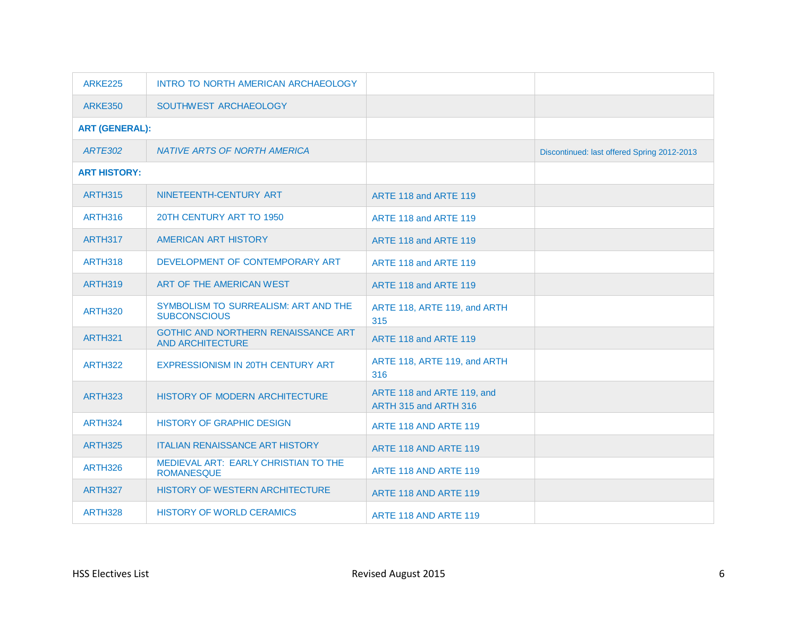| <b>ARKE225</b>        | INTRO TO NORTH AMERICAN ARCHAEOLOGY                            |                                                     |                                             |
|-----------------------|----------------------------------------------------------------|-----------------------------------------------------|---------------------------------------------|
| <b>ARKE350</b>        | SOUTHWEST ARCHAEOLOGY                                          |                                                     |                                             |
| <b>ART (GENERAL):</b> |                                                                |                                                     |                                             |
| <b>ARTE302</b>        | <b>NATIVE ARTS OF NORTH AMERICA</b>                            |                                                     | Discontinued: last offered Spring 2012-2013 |
| <b>ART HISTORY:</b>   |                                                                |                                                     |                                             |
| <b>ARTH315</b>        | NINETEENTH-CENTURY ART                                         | ARTE 118 and ARTE 119                               |                                             |
| <b>ARTH316</b>        | 20TH CENTURY ART TO 1950                                       | ARTE 118 and ARTE 119                               |                                             |
| ARTH317               | AMERICAN ART HISTORY                                           | ARTE 118 and ARTE 119                               |                                             |
| <b>ARTH318</b>        | DEVELOPMENT OF CONTEMPORARY ART                                | ARTE 118 and ARTE 119                               |                                             |
| ARTH319               | ART OF THE AMERICAN WEST                                       | ARTE 118 and ARTE 119                               |                                             |
| <b>ARTH320</b>        | SYMBOLISM TO SURREALISM: ART AND THE<br><b>SUBCONSCIOUS</b>    | ARTE 118, ARTE 119, and ARTH<br>315                 |                                             |
| <b>ARTH321</b>        | GOTHIC AND NORTHERN RENAISSANCE ART<br><b>AND ARCHITECTURE</b> | ARTE 118 and ARTE 119                               |                                             |
| <b>ARTH322</b>        | EXPRESSIONISM IN 20TH CENTURY ART                              | ARTE 118, ARTE 119, and ARTH<br>316                 |                                             |
| <b>ARTH323</b>        | HISTORY OF MODERN ARCHITECTURE                                 | ARTE 118 and ARTE 119, and<br>ARTH 315 and ARTH 316 |                                             |
| <b>ARTH324</b>        | <b>HISTORY OF GRAPHIC DESIGN</b>                               | ARTE 118 AND ARTE 119                               |                                             |
| <b>ARTH325</b>        | <b>ITALIAN RENAISSANCE ART HISTORY</b>                         | ARTE 118 AND ARTE 119                               |                                             |
| <b>ARTH326</b>        | MEDIEVAL ART: EARLY CHRISTIAN TO THE<br><b>ROMANESQUE</b>      | ARTE 118 AND ARTE 119                               |                                             |
| ARTH327               | HISTORY OF WESTERN ARCHITECTURE                                | ARTE 118 AND ARTE 119                               |                                             |
| ARTH328               | <b>HISTORY OF WORLD CERAMICS</b>                               | ARTE 118 AND ARTE 119                               |                                             |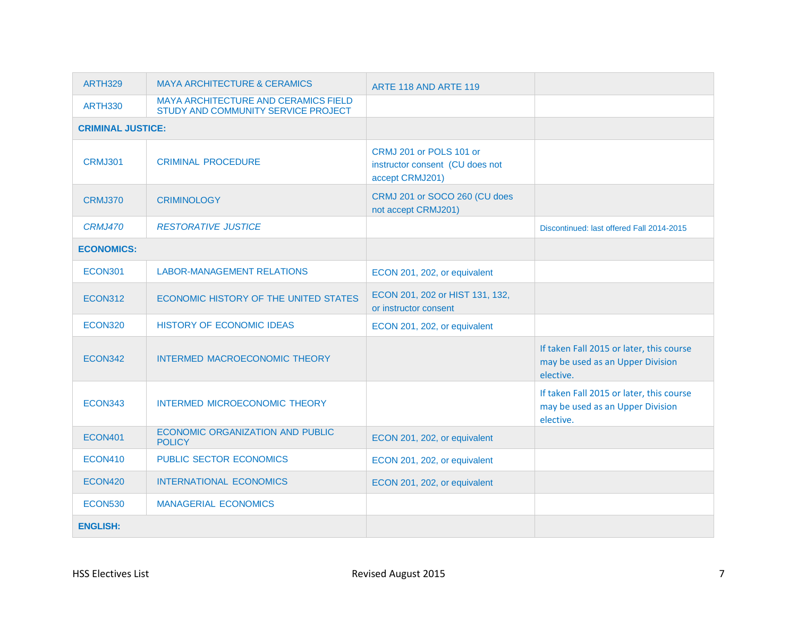| <b>ARTH329</b>           | <b>MAYA ARCHITECTURE &amp; CERAMICS</b>                                     | ARTE 118 AND ARTE 119                                                         |                                                                                           |
|--------------------------|-----------------------------------------------------------------------------|-------------------------------------------------------------------------------|-------------------------------------------------------------------------------------------|
| <b>ARTH330</b>           | MAYA ARCHITECTURE AND CERAMICS FIELD<br>STUDY AND COMMUNITY SERVICE PROJECT |                                                                               |                                                                                           |
| <b>CRIMINAL JUSTICE:</b> |                                                                             |                                                                               |                                                                                           |
| <b>CRMJ301</b>           | <b>CRIMINAL PROCEDURE</b>                                                   | CRMJ 201 or POLS 101 or<br>instructor consent (CU does not<br>accept CRMJ201) |                                                                                           |
| CRMJ370                  | <b>CRIMINOLOGY</b>                                                          | CRMJ 201 or SOCO 260 (CU does<br>not accept CRMJ201)                          |                                                                                           |
| <b>CRMJ470</b>           | <b>RESTORATIVE JUSTICE</b>                                                  |                                                                               | Discontinued: last offered Fall 2014-2015                                                 |
| <b>ECONOMICS:</b>        |                                                                             |                                                                               |                                                                                           |
| <b>ECON301</b>           | <b>LABOR-MANAGEMENT RELATIONS</b>                                           | ECON 201, 202, or equivalent                                                  |                                                                                           |
| ECON312                  | ECONOMIC HISTORY OF THE UNITED STATES                                       | ECON 201, 202 or HIST 131, 132,<br>or instructor consent                      |                                                                                           |
| <b>ECON320</b>           | <b>HISTORY OF ECONOMIC IDEAS</b>                                            | ECON 201, 202, or equivalent                                                  |                                                                                           |
| ECON342                  | <b>INTERMED MACROECONOMIC THEORY</b>                                        |                                                                               | If taken Fall 2015 or later, this course<br>may be used as an Upper Division<br>elective. |
| ECON343                  | INTERMED MICROECONOMIC THEORY                                               |                                                                               | If taken Fall 2015 or later, this course<br>may be used as an Upper Division<br>elective. |
| <b>ECON401</b>           | ECONOMIC ORGANIZATION AND PUBLIC<br><b>POLICY</b>                           | ECON 201, 202, or equivalent                                                  |                                                                                           |
| <b>ECON410</b>           | PUBLIC SECTOR ECONOMICS                                                     | ECON 201, 202, or equivalent                                                  |                                                                                           |
| <b>ECON420</b>           | <b>INTERNATIONAL ECONOMICS</b>                                              | ECON 201, 202, or equivalent                                                  |                                                                                           |
| <b>ECON530</b>           | <b>MANAGERIAL ECONOMICS</b>                                                 |                                                                               |                                                                                           |
| <b>ENGLISH:</b>          |                                                                             |                                                                               |                                                                                           |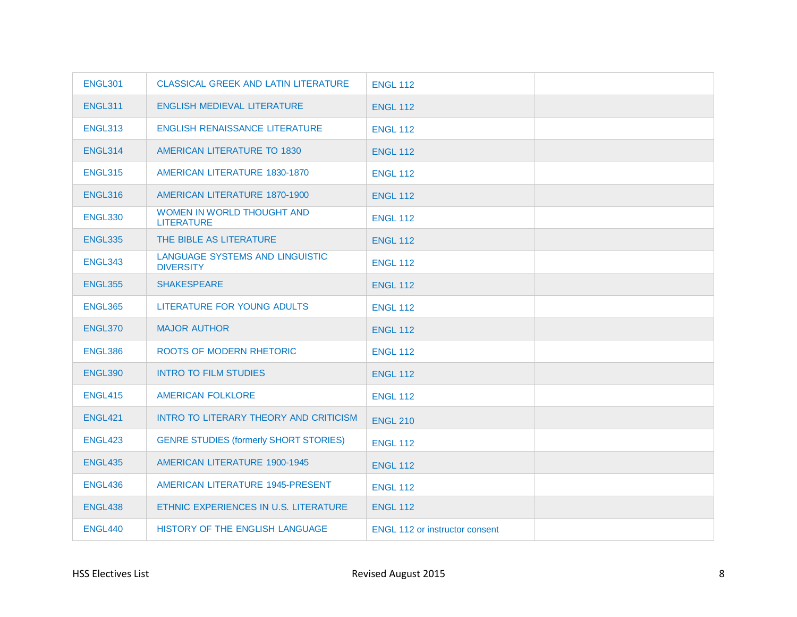| <b>ENGL301</b> | <b>CLASSICAL GREEK AND LATIN LITERATURE</b>         | <b>ENGL 112</b>                       |  |
|----------------|-----------------------------------------------------|---------------------------------------|--|
| <b>ENGL311</b> | ENGLISH MEDIEVAL LITERATURE                         | <b>ENGL 112</b>                       |  |
| <b>ENGL313</b> | <b>ENGLISH RENAISSANCE LITERATURE</b>               | <b>ENGL 112</b>                       |  |
| ENGL314        | AMERICAN LITERATURE TO 1830                         | <b>ENGL 112</b>                       |  |
| <b>ENGL315</b> | AMERICAN LITERATURE 1830-1870                       | <b>ENGL 112</b>                       |  |
| ENGL316        | AMERICAN LITERATURE 1870-1900                       | <b>ENGL 112</b>                       |  |
| <b>ENGL330</b> | WOMEN IN WORLD THOUGHT AND<br><b>LITERATURE</b>     | <b>ENGL 112</b>                       |  |
| <b>ENGL335</b> | THE BIBLE AS LITERATURE                             | <b>ENGL 112</b>                       |  |
| <b>ENGL343</b> | LANGUAGE SYSTEMS AND LINGUISTIC<br><b>DIVERSITY</b> | <b>ENGL 112</b>                       |  |
| <b>ENGL355</b> | <b>SHAKESPEARE</b>                                  | <b>ENGL 112</b>                       |  |
| ENGL365        | LITERATURE FOR YOUNG ADULTS                         | <b>ENGL 112</b>                       |  |
| ENGL370        | <b>MAJOR AUTHOR</b>                                 | <b>ENGL 112</b>                       |  |
| ENGL386        | ROOTS OF MODERN RHETORIC                            | <b>ENGL 112</b>                       |  |
| <b>ENGL390</b> | <b>INTRO TO FILM STUDIES</b>                        | <b>ENGL 112</b>                       |  |
| <b>ENGL415</b> | <b>AMERICAN FOLKLORE</b>                            | <b>ENGL 112</b>                       |  |
| ENGL421        | INTRO TO LITERARY THEORY AND CRITICISM              | <b>ENGL 210</b>                       |  |
| <b>ENGL423</b> | <b>GENRE STUDIES (formerly SHORT STORIES)</b>       | <b>ENGL 112</b>                       |  |
| <b>ENGL435</b> | <b>AMERICAN LITERATURE 1900-1945</b>                | <b>ENGL 112</b>                       |  |
| <b>ENGL436</b> | AMERICAN LITERATURE 1945-PRESENT                    | <b>ENGL 112</b>                       |  |
| ENGL438        | ETHNIC EXPERIENCES IN U.S. LITERATURE               | <b>ENGL 112</b>                       |  |
| <b>ENGL440</b> | HISTORY OF THE ENGLISH LANGUAGE                     | <b>ENGL 112 or instructor consent</b> |  |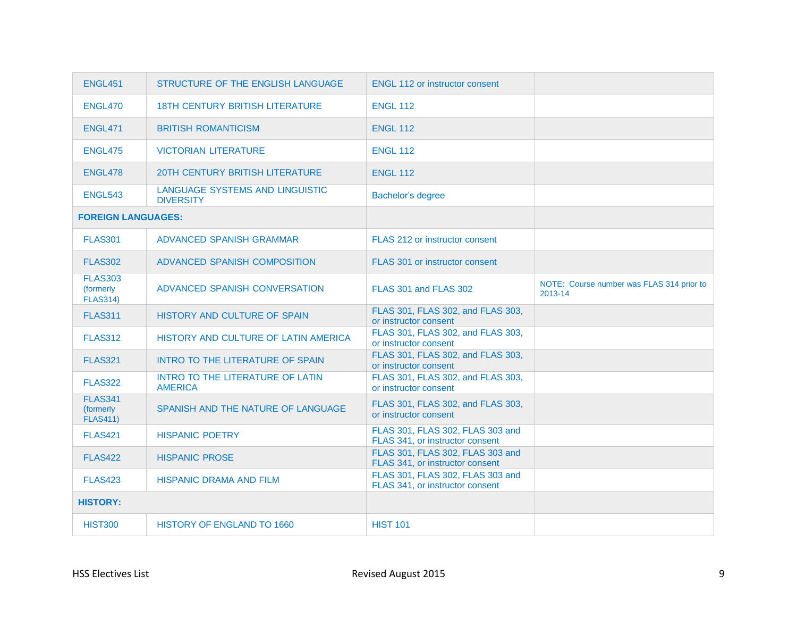| <b>ENGL451</b>                                 | STRUCTURE OF THE ENGLISH LANGUAGE                   | <b>ENGL 112 or instructor consent</b>                               |                                                      |
|------------------------------------------------|-----------------------------------------------------|---------------------------------------------------------------------|------------------------------------------------------|
| ENGL470                                        | <b>18TH CENTURY BRITISH LITERATURE</b>              | <b>ENGL 112</b>                                                     |                                                      |
| <b>ENGL471</b>                                 | <b>BRITISH ROMANTICISM</b>                          | <b>ENGL 112</b>                                                     |                                                      |
| <b>ENGL475</b>                                 | <b>VICTORIAN LITERATURE</b>                         | <b>ENGL 112</b>                                                     |                                                      |
| ENGL478                                        | <b>20TH CENTURY BRITISH LITERATURE</b>              | <b>ENGL 112</b>                                                     |                                                      |
| <b>ENGL543</b>                                 | LANGUAGE SYSTEMS AND LINGUISTIC<br><b>DIVERSITY</b> | Bachelor's degree                                                   |                                                      |
| <b>FOREIGN LANGUAGES:</b>                      |                                                     |                                                                     |                                                      |
| <b>FLAS301</b>                                 | ADVANCED SPANISH GRAMMAR                            | FLAS 212 or instructor consent                                      |                                                      |
| <b>FLAS302</b>                                 | ADVANCED SPANISH COMPOSITION                        | FLAS 301 or instructor consent                                      |                                                      |
| <b>FLAS303</b><br>(formerly<br><b>FLAS314)</b> | ADVANCED SPANISH CONVERSATION                       | FLAS 301 and FLAS 302                                               | NOTE: Course number was FLAS 314 prior to<br>2013-14 |
| <b>FLAS311</b>                                 | HISTORY AND CULTURE OF SPAIN                        | FLAS 301, FLAS 302, and FLAS 303,<br>or instructor consent          |                                                      |
| <b>FLAS312</b>                                 | HISTORY AND CULTURE OF LATIN AMERICA                | FLAS 301, FLAS 302, and FLAS 303,<br>or instructor consent          |                                                      |
| <b>FLAS321</b>                                 | INTRO TO THE LITERATURE OF SPAIN                    | FLAS 301, FLAS 302, and FLAS 303,<br>or instructor consent          |                                                      |
| <b>FLAS322</b>                                 | INTRO TO THE LITERATURE OF LATIN<br><b>AMERICA</b>  | FLAS 301, FLAS 302, and FLAS 303,<br>or instructor consent          |                                                      |
| <b>FLAS341</b><br>(formerly<br><b>FLAS411)</b> | SPANISH AND THE NATURE OF LANGUAGE                  | FLAS 301, FLAS 302, and FLAS 303,<br>or instructor consent          |                                                      |
| <b>FLAS421</b>                                 | <b>HISPANIC POETRY</b>                              | FLAS 301, FLAS 302, FLAS 303 and<br>FLAS 341, or instructor consent |                                                      |
| <b>FLAS422</b>                                 | <b>HISPANIC PROSE</b>                               | FLAS 301, FLAS 302, FLAS 303 and<br>FLAS 341, or instructor consent |                                                      |
| <b>FLAS423</b>                                 | <b>HISPANIC DRAMA AND FILM</b>                      | FLAS 301, FLAS 302, FLAS 303 and<br>FLAS 341, or instructor consent |                                                      |
| <b>HISTORY:</b>                                |                                                     |                                                                     |                                                      |
| <b>HIST300</b>                                 | <b>HISTORY OF ENGLAND TO 1660</b>                   | <b>HIST 101</b>                                                     |                                                      |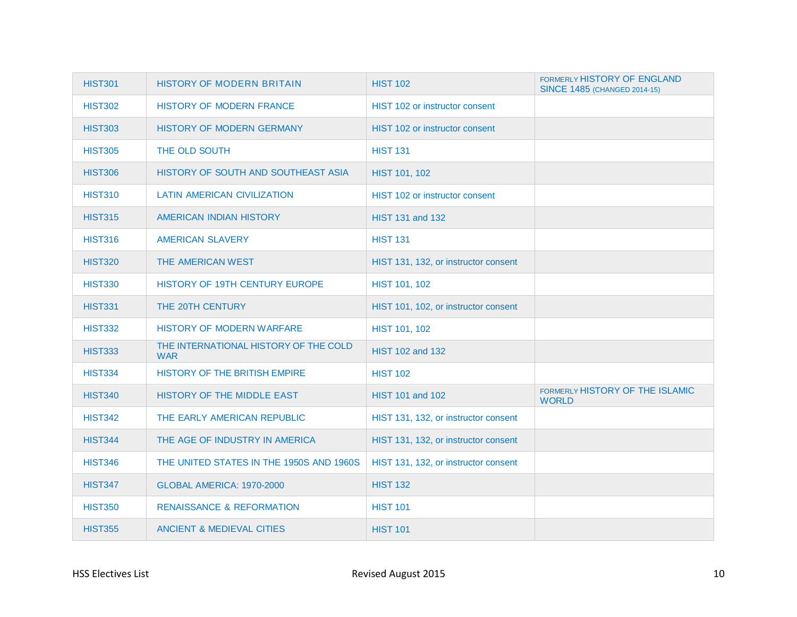| <b>HIST301</b> | <b>HISTORY OF MODERN BRITAIN</b>                    | <b>HIST 102</b>                       | <b>FORMERLY HISTORY OF ENGLAND</b><br>SINCE 1485 (CHANGED 2014-15) |
|----------------|-----------------------------------------------------|---------------------------------------|--------------------------------------------------------------------|
| <b>HIST302</b> | <b>HISTORY OF MODERN FRANCE</b>                     | <b>HIST 102 or instructor consent</b> |                                                                    |
| <b>HIST303</b> | HISTORY OF MODERN GERMANY                           | HIST 102 or instructor consent        |                                                                    |
| <b>HIST305</b> | THE OLD SOUTH                                       | <b>HIST 131</b>                       |                                                                    |
| <b>HIST306</b> | HISTORY OF SOUTH AND SOUTHEAST ASIA                 | HIST 101, 102                         |                                                                    |
| <b>HIST310</b> | <b>LATIN AMERICAN CIVILIZATION</b>                  | HIST 102 or instructor consent        |                                                                    |
| <b>HIST315</b> | AMERICAN INDIAN HISTORY                             | HIST 131 and 132                      |                                                                    |
| <b>HIST316</b> | AMERICAN SLAVERY                                    | <b>HIST 131</b>                       |                                                                    |
| <b>HIST320</b> | THE AMERICAN WEST                                   | HIST 131, 132, or instructor consent  |                                                                    |
| <b>HIST330</b> | <b>HISTORY OF 19TH CENTURY EUROPE</b>               | HIST 101, 102                         |                                                                    |
| <b>HIST331</b> | THE 20TH CENTURY                                    | HIST 101, 102, or instructor consent  |                                                                    |
| <b>HIST332</b> | HISTORY OF MODERN WARFARE                           | HIST 101, 102                         |                                                                    |
| <b>HIST333</b> | THE INTERNATIONAL HISTORY OF THE COLD<br><b>WAR</b> | <b>HIST 102 and 132</b>               |                                                                    |
| <b>HIST334</b> | HISTORY OF THE BRITISH EMPIRE                       | <b>HIST 102</b>                       |                                                                    |
| <b>HIST340</b> | HISTORY OF THE MIDDLE EAST                          | HIST 101 and 102                      | FORMERLY HISTORY OF THE ISLAMIC<br><b>WORLD</b>                    |
| <b>HIST342</b> | THE EARLY AMERICAN REPUBLIC                         | HIST 131, 132, or instructor consent  |                                                                    |
| <b>HIST344</b> | THE AGE OF INDUSTRY IN AMERICA                      | HIST 131, 132, or instructor consent  |                                                                    |
| <b>HIST346</b> | THE UNITED STATES IN THE 1950S AND 1960S            | HIST 131, 132, or instructor consent  |                                                                    |
| <b>HIST347</b> | GLOBAL AMERICA: 1970-2000                           | <b>HIST 132</b>                       |                                                                    |
| <b>HIST350</b> | <b>RENAISSANCE &amp; REFORMATION</b>                | <b>HIST 101</b>                       |                                                                    |
| <b>HIST355</b> | <b>ANCIENT &amp; MEDIEVAL CITIES</b>                | <b>HIST 101</b>                       |                                                                    |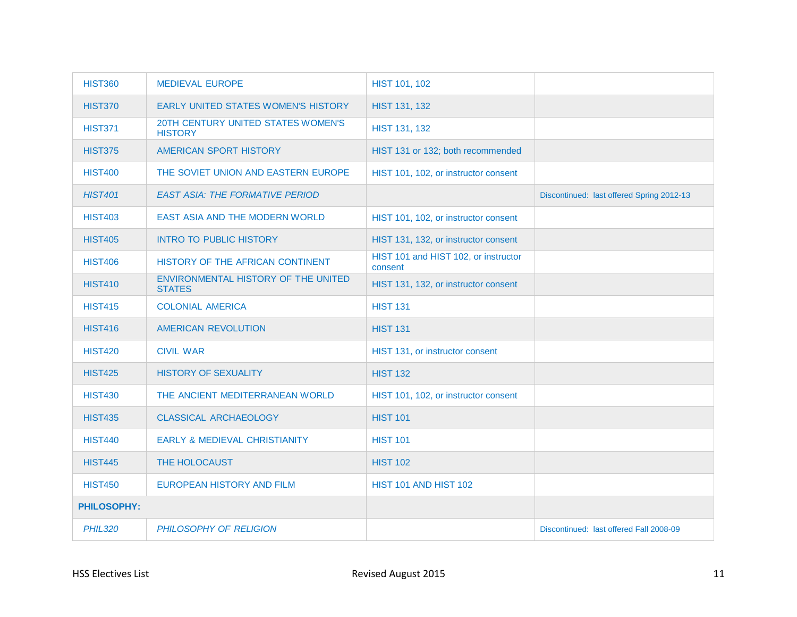| <b>HIST360</b>     | <b>MEDIEVAL EUROPE</b>                               | HIST 101, 102                                   |                                           |
|--------------------|------------------------------------------------------|-------------------------------------------------|-------------------------------------------|
| <b>HIST370</b>     | EARLY UNITED STATES WOMEN'S HISTORY                  | HIST 131, 132                                   |                                           |
| <b>HIST371</b>     | 20TH CENTURY UNITED STATES WOMEN'S<br><b>HISTORY</b> | HIST 131, 132                                   |                                           |
| <b>HIST375</b>     | AMERICAN SPORT HISTORY                               | HIST 131 or 132; both recommended               |                                           |
| <b>HIST400</b>     | THE SOVIET UNION AND EASTERN EUROPE                  | HIST 101, 102, or instructor consent            |                                           |
| <b>HIST401</b>     | <b>EAST ASIA: THE FORMATIVE PERIOD</b>               |                                                 | Discontinued: last offered Spring 2012-13 |
| <b>HIST403</b>     | <b>EAST ASIA AND THE MODERN WORLD</b>                | HIST 101, 102, or instructor consent            |                                           |
| <b>HIST405</b>     | <b>INTRO TO PUBLIC HISTORY</b>                       | HIST 131, 132, or instructor consent            |                                           |
| <b>HIST406</b>     | HISTORY OF THE AFRICAN CONTINENT                     | HIST 101 and HIST 102, or instructor<br>consent |                                           |
| <b>HIST410</b>     | ENVIRONMENTAL HISTORY OF THE UNITED<br><b>STATES</b> | HIST 131, 132, or instructor consent            |                                           |
| <b>HIST415</b>     | <b>COLONIAL AMERICA</b>                              | <b>HIST 131</b>                                 |                                           |
| <b>HIST416</b>     | AMERICAN REVOLUTION                                  | <b>HIST 131</b>                                 |                                           |
| <b>HIST420</b>     | <b>CIVIL WAR</b>                                     | HIST 131, or instructor consent                 |                                           |
| <b>HIST425</b>     | <b>HISTORY OF SEXUALITY</b>                          | <b>HIST 132</b>                                 |                                           |
| <b>HIST430</b>     | THE ANCIENT MEDITERRANEAN WORLD                      | HIST 101, 102, or instructor consent            |                                           |
| <b>HIST435</b>     | <b>CLASSICAL ARCHAEOLOGY</b>                         | <b>HIST 101</b>                                 |                                           |
| <b>HIST440</b>     | <b>EARLY &amp; MEDIEVAL CHRISTIANITY</b>             | <b>HIST 101</b>                                 |                                           |
| <b>HIST445</b>     | THE HOLOCAUST                                        | <b>HIST 102</b>                                 |                                           |
| <b>HIST450</b>     | <b>EUROPEAN HISTORY AND FILM</b>                     | <b>HIST 101 AND HIST 102</b>                    |                                           |
| <b>PHILOSOPHY:</b> |                                                      |                                                 |                                           |
| <b>PHIL320</b>     | PHILOSOPHY OF RELIGION                               |                                                 | Discontinued: last offered Fall 2008-09   |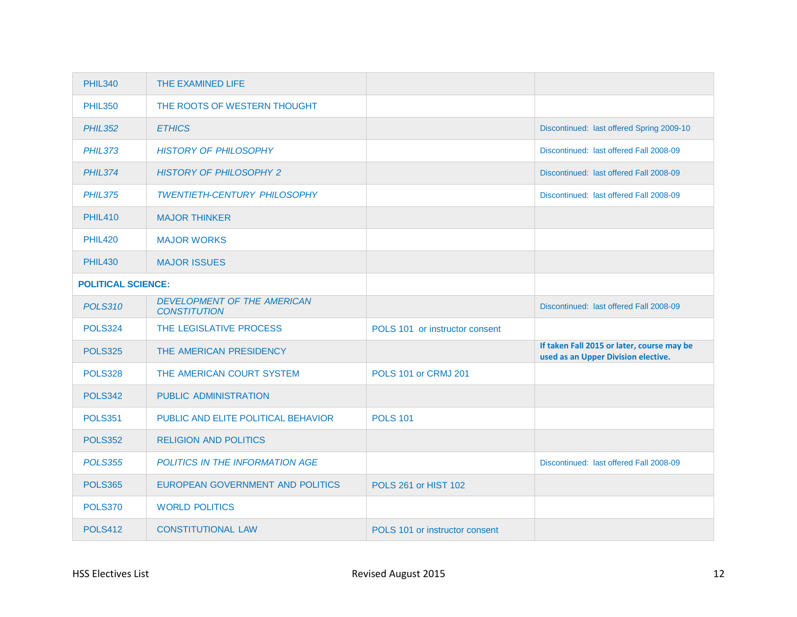| <b>PHIL340</b>            | THE EXAMINED LIFE                                         |                                |                                                                                   |
|---------------------------|-----------------------------------------------------------|--------------------------------|-----------------------------------------------------------------------------------|
| <b>PHIL350</b>            | THE ROOTS OF WESTERN THOUGHT                              |                                |                                                                                   |
| <b>PHIL352</b>            | <b>ETHICS</b>                                             |                                | Discontinued: last offered Spring 2009-10                                         |
| <b>PHIL373</b>            | <b>HISTORY OF PHILOSOPHY</b>                              |                                | Discontinued: last offered Fall 2008-09                                           |
| <b>PHIL374</b>            | <b>HISTORY OF PHILOSOPHY 2</b>                            |                                | Discontinued: last offered Fall 2008-09                                           |
| <b>PHIL375</b>            | <b>TWENTIETH-CENTURY PHILOSOPHY</b>                       |                                | Discontinued: last offered Fall 2008-09                                           |
| <b>PHIL410</b>            | <b>MAJOR THINKER</b>                                      |                                |                                                                                   |
| <b>PHIL420</b>            | <b>MAJOR WORKS</b>                                        |                                |                                                                                   |
| <b>PHIL430</b>            | <b>MAJOR ISSUES</b>                                       |                                |                                                                                   |
| <b>POLITICAL SCIENCE:</b> |                                                           |                                |                                                                                   |
| <b>POLS310</b>            | <b>DEVELOPMENT OF THE AMERICAN</b><br><b>CONSTITUTION</b> |                                | Discontinued: last offered Fall 2008-09                                           |
| <b>POLS324</b>            | THE LEGISLATIVE PROCESS                                   | POLS 101 or instructor consent |                                                                                   |
| <b>POLS325</b>            | THE AMERICAN PRESIDENCY                                   |                                | If taken Fall 2015 or later, course may be<br>used as an Upper Division elective. |
| <b>POLS328</b>            | THE AMERICAN COURT SYSTEM                                 | <b>POLS 101 or CRMJ 201</b>    |                                                                                   |
| <b>POLS342</b>            | PUBLIC ADMINISTRATION                                     |                                |                                                                                   |
| <b>POLS351</b>            | PUBLIC AND ELITE POLITICAL BEHAVIOR                       | <b>POLS 101</b>                |                                                                                   |
| <b>POLS352</b>            | <b>RELIGION AND POLITICS</b>                              |                                |                                                                                   |
| <b>POLS355</b>            | POLITICS IN THE INFORMATION AGE                           |                                | Discontinued: last offered Fall 2008-09                                           |
| <b>POLS365</b>            | EUROPEAN GOVERNMENT AND POLITICS                          | <b>POLS 261 or HIST 102</b>    |                                                                                   |
| <b>POLS370</b>            | <b>WORLD POLITICS</b>                                     |                                |                                                                                   |
| <b>POLS412</b>            | <b>CONSTITUTIONAL LAW</b>                                 | POLS 101 or instructor consent |                                                                                   |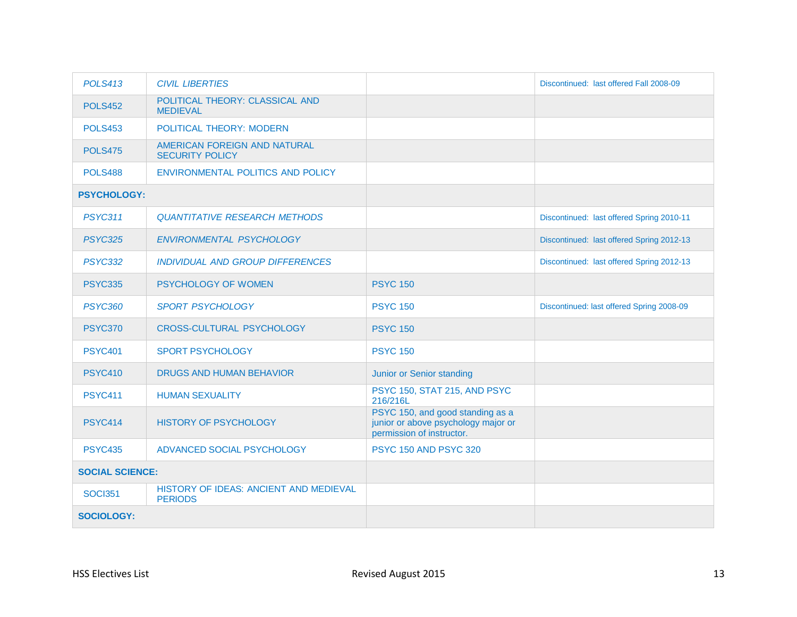| <b>POLS413</b>                                                             | <b>CIVIL LIBERTIES</b>                                 |                                                                                                      | Discontinued: last offered Fall 2008-09   |
|----------------------------------------------------------------------------|--------------------------------------------------------|------------------------------------------------------------------------------------------------------|-------------------------------------------|
| <b>POLS452</b>                                                             | POLITICAL THEORY: CLASSICAL AND<br><b>MEDIEVAL</b>     |                                                                                                      |                                           |
| <b>POLS453</b>                                                             | POLITICAL THEORY: MODERN                               |                                                                                                      |                                           |
| <b>POLS475</b>                                                             | AMERICAN FOREIGN AND NATURAL<br><b>SECURITY POLICY</b> |                                                                                                      |                                           |
| <b>POLS488</b>                                                             | ENVIRONMENTAL POLITICS AND POLICY                      |                                                                                                      |                                           |
| <b>PSYCHOLOGY:</b>                                                         |                                                        |                                                                                                      |                                           |
| <b>PSYC311</b>                                                             | <b>QUANTITATIVE RESEARCH METHODS</b>                   |                                                                                                      | Discontinued: last offered Spring 2010-11 |
| <b>PSYC325</b>                                                             | ENVIRONMENTAL PSYCHOLOGY                               |                                                                                                      | Discontinued: last offered Spring 2012-13 |
| <b>PSYC332</b>                                                             | <b>INDIVIDUAL AND GROUP DIFFERENCES</b>                |                                                                                                      | Discontinued: last offered Spring 2012-13 |
| <b>PSYC335</b>                                                             | PSYCHOLOGY OF WOMEN                                    | <b>PSYC 150</b>                                                                                      |                                           |
| <b>PSYC360</b>                                                             | <b>SPORT PSYCHOLOGY</b>                                | <b>PSYC 150</b>                                                                                      | Discontinued: last offered Spring 2008-09 |
| <b>PSYC370</b>                                                             | <b>CROSS-CULTURAL PSYCHOLOGY</b>                       | <b>PSYC 150</b>                                                                                      |                                           |
| <b>PSYC401</b>                                                             | <b>SPORT PSYCHOLOGY</b>                                | <b>PSYC 150</b>                                                                                      |                                           |
| <b>PSYC410</b>                                                             | <b>DRUGS AND HUMAN BEHAVIOR</b>                        | Junior or Senior standing                                                                            |                                           |
| <b>PSYC411</b>                                                             | <b>HUMAN SEXUALITY</b>                                 | PSYC 150, STAT 215, AND PSYC<br>216/216L                                                             |                                           |
| <b>PSYC414</b>                                                             | <b>HISTORY OF PSYCHOLOGY</b>                           | PSYC 150, and good standing as a<br>junior or above psychology major or<br>permission of instructor. |                                           |
| <b>PSYC435</b>                                                             | ADVANCED SOCIAL PSYCHOLOGY                             | PSYC 150 AND PSYC 320                                                                                |                                           |
| <b>SOCIAL SCIENCE:</b>                                                     |                                                        |                                                                                                      |                                           |
| HISTORY OF IDEAS: ANCIENT AND MEDIEVAL<br><b>SOCI351</b><br><b>PERIODS</b> |                                                        |                                                                                                      |                                           |
| <b>SOCIOLOGY:</b>                                                          |                                                        |                                                                                                      |                                           |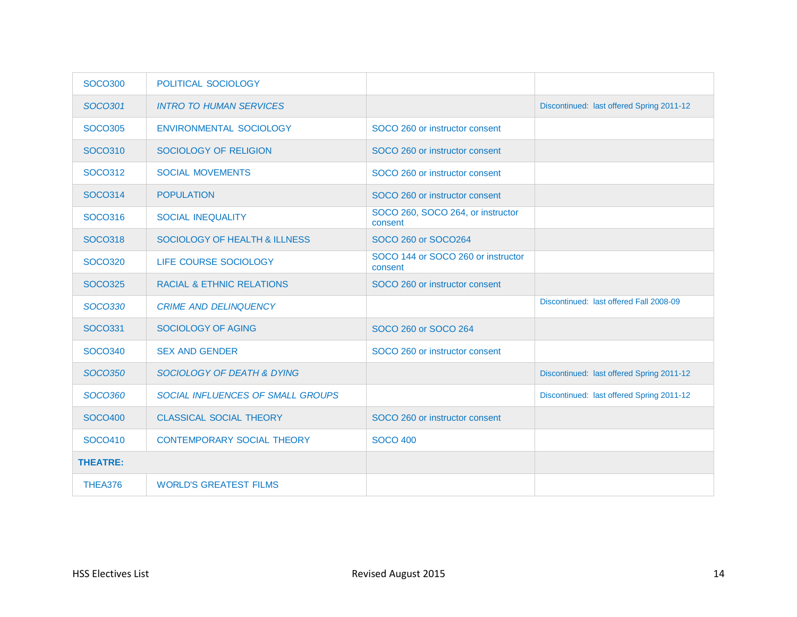| <b>SOCO300</b>  | POLITICAL SOCIOLOGY                   |                                               |                                           |
|-----------------|---------------------------------------|-----------------------------------------------|-------------------------------------------|
| SOC0301         | <b>INTRO TO HUMAN SERVICES</b>        |                                               | Discontinued: last offered Spring 2011-12 |
| <b>SOCO305</b>  | ENVIRONMENTAL SOCIOLOGY               | SOCO 260 or instructor consent                |                                           |
| SOCO310         | SOCIOLOGY OF RELIGION                 | SOCO 260 or instructor consent                |                                           |
| SOCO312         | <b>SOCIAL MOVEMENTS</b>               | SOCO 260 or instructor consent                |                                           |
| <b>SOCO314</b>  | <b>POPULATION</b>                     | SOCO 260 or instructor consent                |                                           |
| SOCO316         | <b>SOCIAL INEQUALITY</b>              | SOCO 260, SOCO 264, or instructor<br>consent  |                                           |
| SOCO318         | SOCIOLOGY OF HEALTH & ILLNESS         | SOCO 260 or SOCO264                           |                                           |
| <b>SOCO320</b>  | LIFE COURSE SOCIOLOGY                 | SOCO 144 or SOCO 260 or instructor<br>consent |                                           |
| <b>SOCO325</b>  | <b>RACIAL &amp; ETHNIC RELATIONS</b>  | SOCO 260 or instructor consent                |                                           |
| <b>SOCO330</b>  | <b>CRIME AND DELINQUENCY</b>          |                                               | Discontinued: last offered Fall 2008-09   |
| SOCO331         | <b>SOCIOLOGY OF AGING</b>             | SOCO 260 or SOCO 264                          |                                           |
| SOCO340         | <b>SEX AND GENDER</b>                 | SOCO 260 or instructor consent                |                                           |
| <b>SOCO350</b>  | <b>SOCIOLOGY OF DEATH &amp; DYING</b> |                                               | Discontinued: last offered Spring 2011-12 |
| <b>SOCO360</b>  | SOCIAL INFLUENCES OF SMALL GROUPS     |                                               | Discontinued: last offered Spring 2011-12 |
| <b>SOCO400</b>  | <b>CLASSICAL SOCIAL THEORY</b>        | SOCO 260 or instructor consent                |                                           |
| SOCO410         | <b>CONTEMPORARY SOCIAL THEORY</b>     | <b>SOCO 400</b>                               |                                           |
| <b>THEATRE:</b> |                                       |                                               |                                           |
| THEA376         | <b>WORLD'S GREATEST FILMS</b>         |                                               |                                           |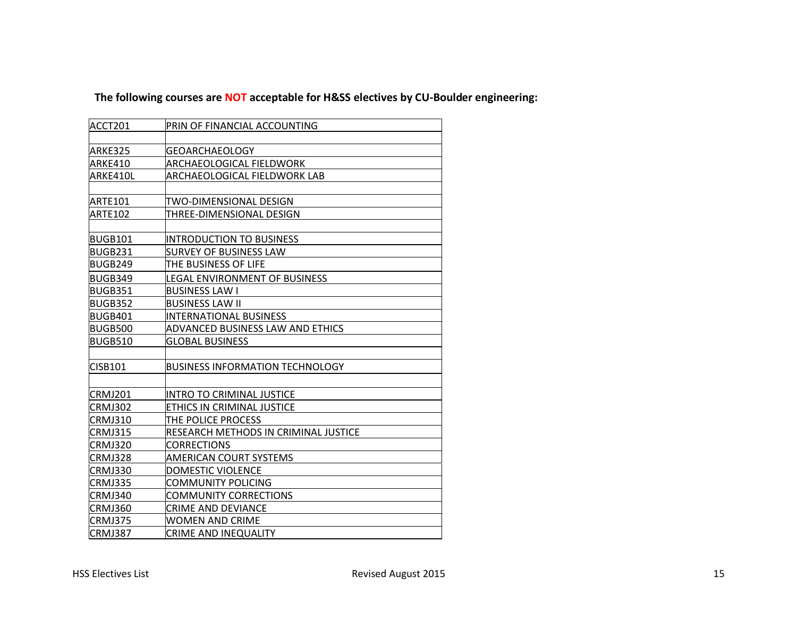#### **The following courses are NOT acceptable for H&SS electives by CU-Boulder engineering:**

| ACCT201        | PRIN OF FINANCIAL ACCOUNTING           |
|----------------|----------------------------------------|
|                |                                        |
| ARKE325        | <b>GEOARCHAEOLOGY</b>                  |
| ARKE410        | ARCHAEOLOGICAL FIELDWORK               |
| ARKE410L       | ARCHAEOLOGICAL FIELDWORK LAB           |
|                |                                        |
| ARTE101        | TWO-DIMENSIONAL DESIGN                 |
| <b>ARTE102</b> | THREE-DIMENSIONAL DESIGN               |
|                |                                        |
| <b>BUGB101</b> | <b>INTRODUCTION TO BUSINESS</b>        |
| BUGB231        | <b>SURVEY OF BUSINESS LAW</b>          |
| BUGB249        | THE BUSINESS OF LIFE                   |
| <b>BUGB349</b> | LEGAL ENVIRONMENT OF BUSINESS          |
| BUGB351        | <b>BUSINESS LAW I</b>                  |
| <b>BUGB352</b> | <b>BUSINESS LAW II</b>                 |
| <b>BUGB401</b> | <b>INTERNATIONAL BUSINESS</b>          |
| <b>BUGB500</b> | ADVANCED BUSINESS LAW AND ETHICS       |
| <b>BUGB510</b> | <b>GLOBAL BUSINESS</b>                 |
|                |                                        |
| <b>CISB101</b> | <b>BUSINESS INFORMATION TECHNOLOGY</b> |
|                |                                        |
| <b>CRMJ201</b> | <b>INTRO TO CRIMINAL JUSTICE</b>       |
| <b>CRMJ302</b> | ETHICS IN CRIMINAL JUSTICE             |
| CRMJ310        | THE POLICE PROCESS                     |
| <b>CRMJ315</b> | RESEARCH METHODS IN CRIMINAL JUSTICE   |
| <b>CRMJ320</b> | CORRECTIONS                            |
| CRMJ328        | <b>AMERICAN COURT SYSTEMS</b>          |
| CRMJ330        | <b>DOMESTIC VIOLENCE</b>               |
| <b>CRMJ335</b> | COMMUNITY POLICING                     |
| CRMJ340        | <b>COMMUNITY CORRECTIONS</b>           |
| CRMJ360        | <b>CRIME AND DEVIANCE</b>              |
| CRMJ375        | WOMEN AND CRIME                        |
| CRMJ387        | CRIME AND INEQUALITY                   |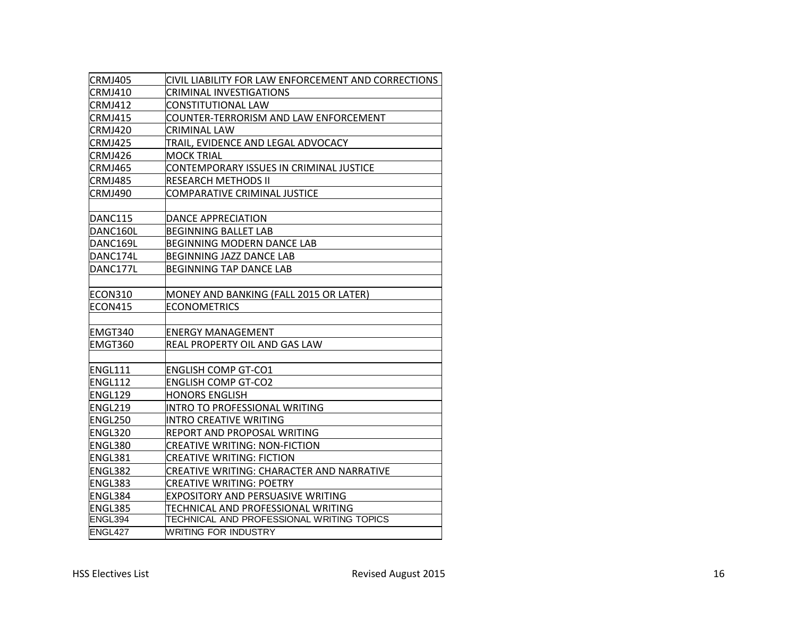| <b>CRMJ405</b> | CIVIL LIABILITY FOR LAW ENFORCEMENT AND CORRECTIONS |
|----------------|-----------------------------------------------------|
| CRMJ410        | <b>CRIMINAL INVESTIGATIONS</b>                      |
| CRMJ412        | CONSTITUTIONAL LAW                                  |
| CRMJ415        | COUNTER-TERRORISM AND LAW ENFORCEMENT               |
| CRMJ420        | CRIMINAL LAW                                        |
| CRMJ425        | TRAIL, EVIDENCE AND LEGAL ADVOCACY                  |
| CRMJ426        | IMOCK TRIAL                                         |
| CRMJ465        | CONTEMPORARY ISSUES IN CRIMINAL JUSTICE             |
| <b>CRMJ485</b> | RESEARCH METHODS II                                 |
| CRMJ490        | COMPARATIVE CRIMINAL JUSTICE                        |
|                |                                                     |
| DANC115        | DANCE APPRECIATION                                  |
| DANC160L       | <b>BEGINNING BALLET LAB</b>                         |
| DANC169L       | <b>BEGINNING MODERN DANCE LAB</b>                   |
| DANC174L       | <b>BEGINNING JAZZ DANCE LAB</b>                     |
| DANC177L       | <b>BEGINNING TAP DANCE LAB</b>                      |
|                |                                                     |
| ECON310        | MONEY AND BANKING (FALL 2015 OR LATER)              |
| <b>ECON415</b> | <b>ECONOMETRICS</b>                                 |
|                |                                                     |
| EMGT340        | <b>ENERGY MANAGEMENT</b>                            |
| EMGT360        | REAL PROPERTY OIL AND GAS LAW                       |
|                |                                                     |
| <b>ENGL111</b> | <b>ENGLISH COMP GT-CO1</b>                          |
| ENGL112        | <b>ENGLISH COMP GT-CO2</b>                          |
| <b>ENGL129</b> | <b>HONORS ENGLISH</b>                               |
| ENGL219        | INTRO TO PROFESSIONAL WRITING                       |
| <b>ENGL250</b> | <b>INTRO CREATIVE WRITING</b>                       |
| ENGL320        | REPORT AND PROPOSAL WRITING                         |
| ENGL380        | <b>CREATIVE WRITING: NON-FICTION</b>                |
| <b>ENGL381</b> | <b>CREATIVE WRITING: FICTION</b>                    |
| ENGL382        | CREATIVE WRITING: CHARACTER AND NARRATIVE           |
| ENGL383        | <b>CREATIVE WRITING: POETRY</b>                     |
| ENGL384        | <b>EXPOSITORY AND PERSUASIVE WRITING</b>            |
| ENGL385        | TECHNICAL AND PROFESSIONAL WRITING                  |
| ENGL394        | TECHNICAL AND PROFESSIONAL WRITING TOPICS           |
| ENGL427        | WRITING FOR INDUSTRY                                |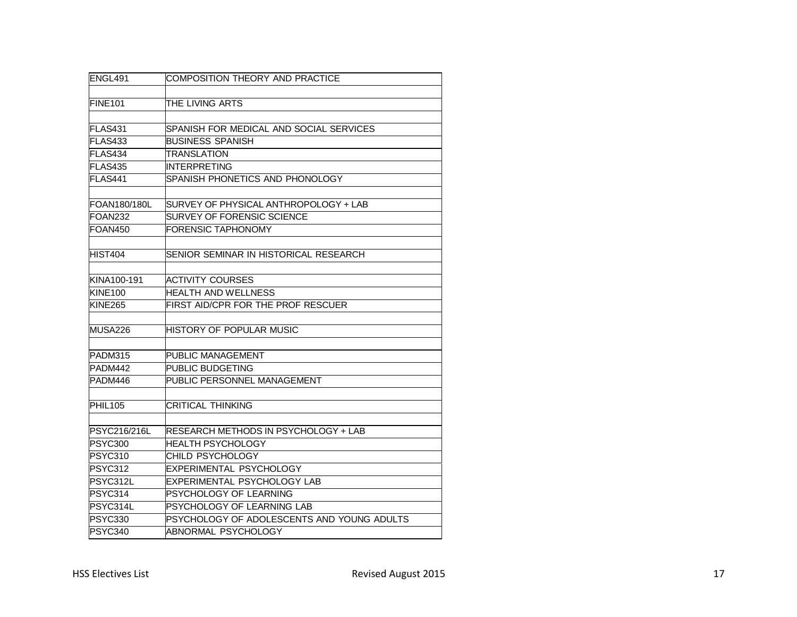| ENGL491             | COMPOSITION THEORY AND PRACTICE            |
|---------------------|--------------------------------------------|
| <b>FINE101</b>      | THE LIVING ARTS                            |
|                     |                                            |
| FLAS431             | SPANISH FOR MEDICAL AND SOCIAL SERVICES    |
| FLAS433             | <b>BUSINESS SPANISH</b>                    |
| FLAS434             | <b>TRANSLATION</b>                         |
| <b>FLAS435</b>      | <b>INTERPRETING</b>                        |
| FLAS441             | SPANISH PHONETICS AND PHONOLOGY            |
|                     |                                            |
| FOAN180/180L        | SURVEY OF PHYSICAL ANTHROPOLOGY + LAB      |
| FOAN <sub>232</sub> | <b>SURVEY OF FORENSIC SCIENCE</b>          |
| <b>FOAN450</b>      | <b>FORENSIC TAPHONOMY</b>                  |
| <b>HIST404</b>      | SENIOR SEMINAR IN HISTORICAL RESEARCH      |
| KINA100-191         | <b>ACTIVITY COURSES</b>                    |
| <b>KINE100</b>      | <b>HEALTH AND WELLNESS</b>                 |
| <b>KINE265</b>      | FIRST AID/CPR FOR THE PROF RESCUER         |
|                     |                                            |
| MUSA226             | HISTORY OF POPULAR MUSIC                   |
| PADM315             | PUBLIC MANAGEMENT                          |
| PADM442             | PUBLIC BUDGETING                           |
| PADM446             | PUBLIC PERSONNEL MANAGEMENT                |
|                     |                                            |
| PHIL105             | <b>CRITICAL THINKING</b>                   |
|                     |                                            |
| PSYC216/216L        | RESEARCH METHODS IN PSYCHOLOGY + LAB       |
| <b>PSYC300</b>      | <b>HEALTH PSYCHOLOGY</b>                   |
| <b>PSYC310</b>      | CHILD PSYCHOLOGY                           |
| PSYC312             | EXPERIMENTAL PSYCHOLOGY                    |
| PSYC312L            | EXPERIMENTAL PSYCHOLOGY LAB                |
| PSYC314             | PSYCHOLOGY OF LEARNING                     |
| PSYC314L            | PSYCHOLOGY OF LEARNING LAB                 |
| <b>PSYC330</b>      | PSYCHOLOGY OF ADOLESCENTS AND YOUNG ADULTS |
| PSYC340             | ABNORMAL PSYCHOLOGY                        |